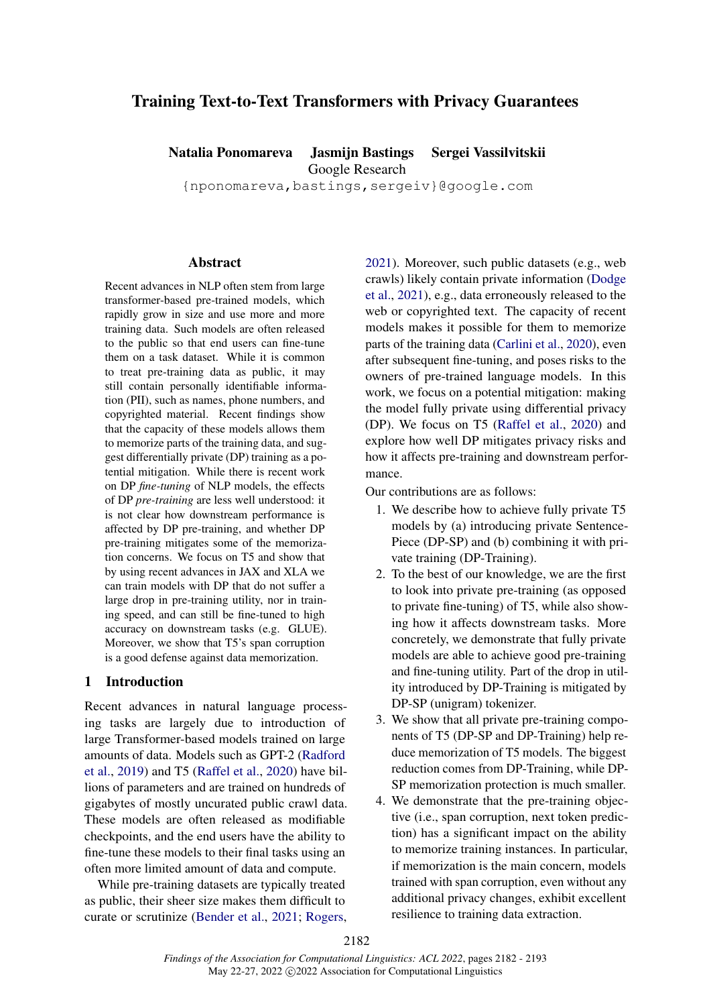# Training Text-to-Text Transformers with Privacy Guarantees

Natalia Ponomareva Jasmijn Bastings Sergei Vassilvitskii

Google Research

{nponomareva,bastings,sergeiv}@google.com

### **Abstract**

Recent advances in NLP often stem from large transformer-based pre-trained models, which rapidly grow in size and use more and more training data. Such models are often released to the public so that end users can fine-tune them on a task dataset. While it is common to treat pre-training data as public, it may still contain personally identifiable information (PII), such as names, phone numbers, and copyrighted material. Recent findings show that the capacity of these models allows them to memorize parts of the training data, and suggest differentially private (DP) training as a potential mitigation. While there is recent work on DP *fine-tuning* of NLP models, the effects of DP *pre-training* are less well understood: it is not clear how downstream performance is affected by DP pre-training, and whether DP pre-training mitigates some of the memorization concerns. We focus on T5 and show that by using recent advances in JAX and XLA we can train models with DP that do not suffer a large drop in pre-training utility, nor in training speed, and can still be fine-tuned to high accuracy on downstream tasks (e.g. GLUE). Moreover, we show that T5's span corruption is a good defense against data memorization.

### 1 Introduction

Recent advances in natural language processing tasks are largely due to introduction of large Transformer-based models trained on large amounts of data. Models such as GPT-2 [\(Radford](#page-9-0) [et al.,](#page-9-0) [2019\)](#page-9-0) and T5 [\(Raffel et al.,](#page-9-1) [2020\)](#page-9-1) have billions of parameters and are trained on hundreds of gigabytes of mostly uncurated public crawl data. These models are often released as modifiable checkpoints, and the end users have the ability to fine-tune these models to their final tasks using an often more limited amount of data and compute.

While pre-training datasets are typically treated as public, their sheer size makes them difficult to curate or scrutinize [\(Bender et al.,](#page-8-0) [2021;](#page-8-0) [Rogers,](#page-9-2) [2021\)](#page-9-2). Moreover, such public datasets (e.g., web crawls) likely contain private information [\(Dodge](#page-8-1) [et al.,](#page-8-1) [2021\)](#page-8-1), e.g., data erroneously released to the web or copyrighted text. The capacity of recent models makes it possible for them to memorize parts of the training data [\(Carlini et al.,](#page-8-2) [2020\)](#page-8-2), even after subsequent fine-tuning, and poses risks to the owners of pre-trained language models. In this work, we focus on a potential mitigation: making the model fully private using differential privacy (DP). We focus on T5 [\(Raffel et al.,](#page-9-1) [2020\)](#page-9-1) and explore how well DP mitigates privacy risks and how it affects pre-training and downstream performance.

Our contributions are as follows:

- 1. We describe how to achieve fully private T5 models by (a) introducing private Sentence-Piece (DP-SP) and (b) combining it with private training (DP-Training).
- 2. To the best of our knowledge, we are the first to look into private pre-training (as opposed to private fine-tuning) of T5, while also showing how it affects downstream tasks. More concretely, we demonstrate that fully private models are able to achieve good pre-training and fine-tuning utility. Part of the drop in utility introduced by DP-Training is mitigated by DP-SP (unigram) tokenizer.
- 3. We show that all private pre-training components of T5 (DP-SP and DP-Training) help reduce memorization of T5 models. The biggest reduction comes from DP-Training, while DP-SP memorization protection is much smaller.
- 4. We demonstrate that the pre-training objective (i.e., span corruption, next token prediction) has a significant impact on the ability to memorize training instances. In particular, if memorization is the main concern, models trained with span corruption, even without any additional privacy changes, exhibit excellent resilience to training data extraction.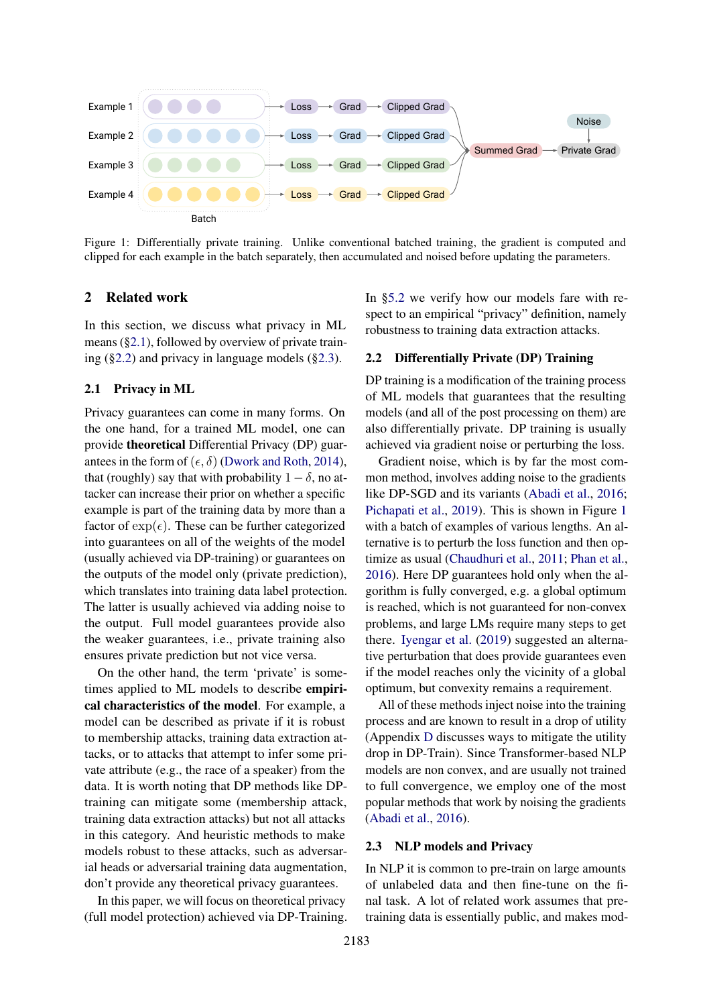<span id="page-1-3"></span>

Figure 1: Differentially private training. Unlike conventional batched training, the gradient is computed and clipped for each example in the batch separately, then accumulated and noised before updating the parameters.

#### 2 Related work

In this section, we discuss what privacy in ML means ([§2.1\)](#page-1-0), followed by overview of private training ([§2.2\)](#page-1-1) and privacy in language models ([§2.3\)](#page-1-2).

#### <span id="page-1-0"></span>2.1 Privacy in ML

Privacy guarantees can come in many forms. On the one hand, for a trained ML model, one can provide theoretical Differential Privacy (DP) guarantees in the form of  $(\epsilon, \delta)$  [\(Dwork and Roth,](#page-8-3) [2014\)](#page-8-3), that (roughly) say that with probability  $1-\delta$ , no attacker can increase their prior on whether a specific example is part of the training data by more than a factor of  $\exp(\epsilon)$ . These can be further categorized into guarantees on all of the weights of the model (usually achieved via DP-training) or guarantees on the outputs of the model only (private prediction), which translates into training data label protection. The latter is usually achieved via adding noise to the output. Full model guarantees provide also the weaker guarantees, i.e., private training also ensures private prediction but not vice versa.

On the other hand, the term 'private' is sometimes applied to ML models to describe empirical characteristics of the model. For example, a model can be described as private if it is robust to membership attacks, training data extraction attacks, or to attacks that attempt to infer some private attribute (e.g., the race of a speaker) from the data. It is worth noting that DP methods like DPtraining can mitigate some (membership attack, training data extraction attacks) but not all attacks in this category. And heuristic methods to make models robust to these attacks, such as adversarial heads or adversarial training data augmentation, don't provide any theoretical privacy guarantees.

In this paper, we will focus on theoretical privacy (full model protection) achieved via DP-Training. In [§5.2](#page-6-0) we verify how our models fare with respect to an empirical "privacy" definition, namely robustness to training data extraction attacks.

#### <span id="page-1-1"></span>2.2 Differentially Private (DP) Training

DP training is a modification of the training process of ML models that guarantees that the resulting models (and all of the post processing on them) are also differentially private. DP training is usually achieved via gradient noise or perturbing the loss.

Gradient noise, which is by far the most common method, involves adding noise to the gradients like DP-SGD and its variants [\(Abadi et al.,](#page-8-4) [2016;](#page-8-4) [Pichapati et al.,](#page-9-3) [2019\)](#page-9-3). This is shown in Figure [1](#page-1-3) with a batch of examples of various lengths. An alternative is to perturb the loss function and then optimize as usual [\(Chaudhuri et al.,](#page-8-5) [2011;](#page-8-5) [Phan et al.,](#page-9-4) [2016\)](#page-9-4). Here DP guarantees hold only when the algorithm is fully converged, e.g. a global optimum is reached, which is not guaranteed for non-convex problems, and large LMs require many steps to get there. [Iyengar et al.](#page-8-6) [\(2019\)](#page-8-6) suggested an alternative perturbation that does provide guarantees even if the model reaches only the vicinity of a global optimum, but convexity remains a requirement.

All of these methods inject noise into the training process and are known to result in a drop of utility (Appendix [D](#page-10-0) discusses ways to mitigate the utility drop in DP-Train). Since Transformer-based NLP models are non convex, and are usually not trained to full convergence, we employ one of the most popular methods that work by noising the gradients [\(Abadi et al.,](#page-8-4) [2016\)](#page-8-4).

#### <span id="page-1-2"></span>2.3 NLP models and Privacy

In NLP it is common to pre-train on large amounts of unlabeled data and then fine-tune on the final task. A lot of related work assumes that pretraining data is essentially public, and makes mod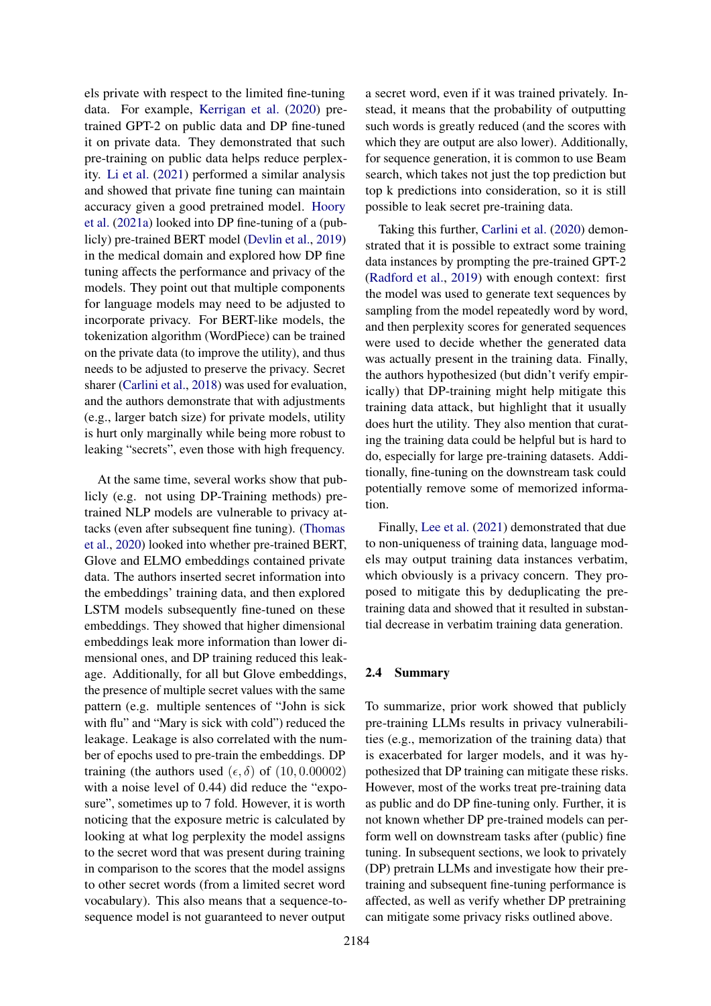els private with respect to the limited fine-tuning data. For example, [Kerrigan et al.](#page-8-7) [\(2020\)](#page-8-7) pretrained GPT-2 on public data and DP fine-tuned it on private data. They demonstrated that such pre-training on public data helps reduce perplexity. [Li et al.](#page-8-8) [\(2021\)](#page-8-8) performed a similar analysis and showed that private fine tuning can maintain accuracy given a good pretrained model. [Hoory](#page-8-9) [et al.](#page-8-9) [\(2021a\)](#page-8-9) looked into DP fine-tuning of a (publicly) pre-trained BERT model [\(Devlin et al.,](#page-8-10) [2019\)](#page-8-10) in the medical domain and explored how DP fine tuning affects the performance and privacy of the models. They point out that multiple components for language models may need to be adjusted to incorporate privacy. For BERT-like models, the tokenization algorithm (WordPiece) can be trained on the private data (to improve the utility), and thus needs to be adjusted to preserve the privacy. Secret sharer [\(Carlini et al.,](#page-8-11) [2018\)](#page-8-11) was used for evaluation, and the authors demonstrate that with adjustments (e.g., larger batch size) for private models, utility is hurt only marginally while being more robust to leaking "secrets", even those with high frequency.

At the same time, several works show that publicly (e.g. not using DP-Training methods) pretrained NLP models are vulnerable to privacy attacks (even after subsequent fine tuning). [\(Thomas](#page-9-5) [et al.,](#page-9-5) [2020\)](#page-9-5) looked into whether pre-trained BERT, Glove and ELMO embeddings contained private data. The authors inserted secret information into the embeddings' training data, and then explored LSTM models subsequently fine-tuned on these embeddings. They showed that higher dimensional embeddings leak more information than lower dimensional ones, and DP training reduced this leakage. Additionally, for all but Glove embeddings, the presence of multiple secret values with the same pattern (e.g. multiple sentences of "John is sick with flu" and "Mary is sick with cold" reduced the leakage. Leakage is also correlated with the number of epochs used to pre-train the embeddings. DP training (the authors used  $(\epsilon, \delta)$  of  $(10, 0.00002)$ with a noise level of 0.44) did reduce the "exposure", sometimes up to 7 fold. However, it is worth noticing that the exposure metric is calculated by looking at what log perplexity the model assigns to the secret word that was present during training in comparison to the scores that the model assigns to other secret words (from a limited secret word vocabulary). This also means that a sequence-tosequence model is not guaranteed to never output

a secret word, even if it was trained privately. Instead, it means that the probability of outputting such words is greatly reduced (and the scores with which they are output are also lower). Additionally, for sequence generation, it is common to use Beam search, which takes not just the top prediction but top k predictions into consideration, so it is still possible to leak secret pre-training data.

Taking this further, [Carlini et al.](#page-8-2) [\(2020\)](#page-8-2) demonstrated that it is possible to extract some training data instances by prompting the pre-trained GPT-2 [\(Radford et al.,](#page-9-0) [2019\)](#page-9-0) with enough context: first the model was used to generate text sequences by sampling from the model repeatedly word by word, and then perplexity scores for generated sequences were used to decide whether the generated data was actually present in the training data. Finally, the authors hypothesized (but didn't verify empirically) that DP-training might help mitigate this training data attack, but highlight that it usually does hurt the utility. They also mention that curating the training data could be helpful but is hard to do, especially for large pre-training datasets. Additionally, fine-tuning on the downstream task could potentially remove some of memorized information.

Finally, [Lee et al.](#page-8-12) [\(2021\)](#page-8-12) demonstrated that due to non-uniqueness of training data, language models may output training data instances verbatim, which obviously is a privacy concern. They proposed to mitigate this by deduplicating the pretraining data and showed that it resulted in substantial decrease in verbatim training data generation.

### 2.4 Summary

To summarize, prior work showed that publicly pre-training LLMs results in privacy vulnerabilities (e.g., memorization of the training data) that is exacerbated for larger models, and it was hypothesized that DP training can mitigate these risks. However, most of the works treat pre-training data as public and do DP fine-tuning only. Further, it is not known whether DP pre-trained models can perform well on downstream tasks after (public) fine tuning. In subsequent sections, we look to privately (DP) pretrain LLMs and investigate how their pretraining and subsequent fine-tuning performance is affected, as well as verify whether DP pretraining can mitigate some privacy risks outlined above.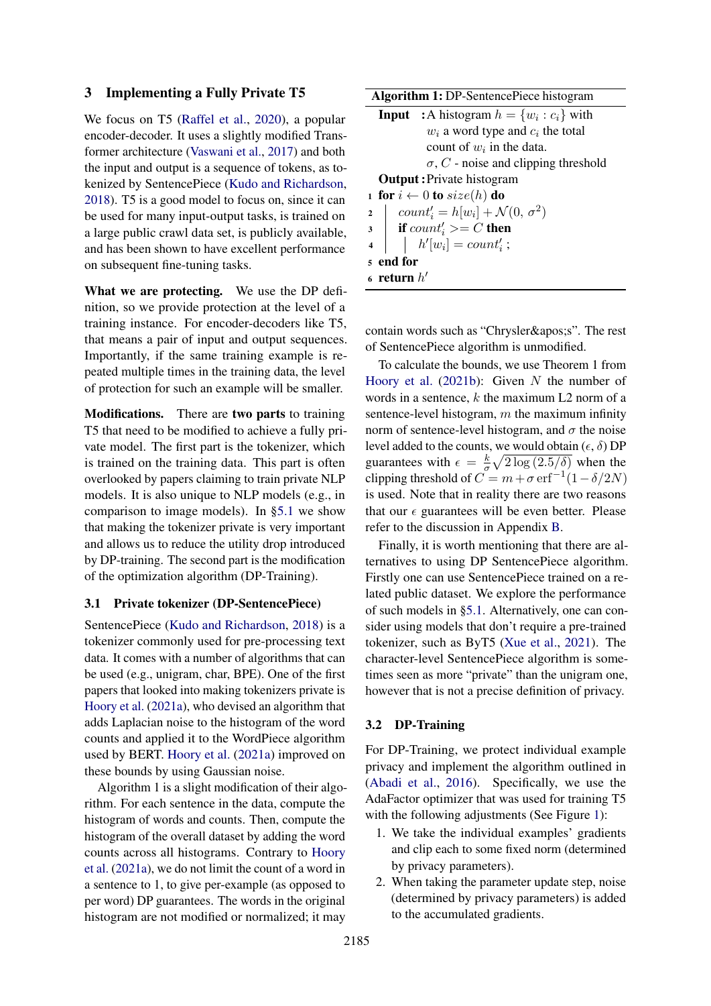### 3 Implementing a Fully Private T5

We focus on T5 [\(Raffel et al.,](#page-9-1) [2020\)](#page-9-1), a popular encoder-decoder. It uses a slightly modified Transformer architecture [\(Vaswani et al.,](#page-9-6) [2017\)](#page-9-6) and both the input and output is a sequence of tokens, as tokenized by SentencePiece [\(Kudo and Richardson,](#page-8-13) [2018\)](#page-8-13). T5 is a good model to focus on, since it can be used for many input-output tasks, is trained on a large public crawl data set, is publicly available, and has been shown to have excellent performance on subsequent fine-tuning tasks.

What we are protecting. We use the DP definition, so we provide protection at the level of a training instance. For encoder-decoders like T5, that means a pair of input and output sequences. Importantly, if the same training example is repeated multiple times in the training data, the level of protection for such an example will be smaller.

Modifications. There are two parts to training T5 that need to be modified to achieve a fully private model. The first part is the tokenizer, which is trained on the training data. This part is often overlooked by papers claiming to train private NLP models. It is also unique to NLP models (e.g., in comparison to image models). In [§5.1](#page-5-0) we show that making the tokenizer private is very important and allows us to reduce the utility drop introduced by DP-training. The second part is the modification of the optimization algorithm (DP-Training).

#### 3.1 Private tokenizer (DP-SentencePiece)

SentencePiece [\(Kudo and Richardson,](#page-8-13) [2018\)](#page-8-13) is a tokenizer commonly used for pre-processing text data. It comes with a number of algorithms that can be used (e.g., unigram, char, BPE). One of the first papers that looked into making tokenizers private is [Hoory et al.](#page-8-9) [\(2021a\)](#page-8-9), who devised an algorithm that adds Laplacian noise to the histogram of the word counts and applied it to the WordPiece algorithm used by BERT. [Hoory et al.](#page-8-9) [\(2021a\)](#page-8-9) improved on these bounds by using Gaussian noise.

Algorithm 1 is a slight modification of their algorithm. For each sentence in the data, compute the histogram of words and counts. Then, compute the histogram of the overall dataset by adding the word counts across all histograms. Contrary to [Hoory](#page-8-9) [et al.](#page-8-9) [\(2021a\)](#page-8-9), we do not limit the count of a word in a sentence to 1, to give per-example (as opposed to per word) DP guarantees. The words in the original histogram are not modified or normalized; it may Algorithm 1: DP-SentencePiece histogram

| <b>Input</b> : A histogram $h = \{w_i : c_i\}$ with               |  |  |  |  |  |  |  |  |
|-------------------------------------------------------------------|--|--|--|--|--|--|--|--|
| $w_i$ a word type and $c_i$ the total                             |  |  |  |  |  |  |  |  |
| count of $w_i$ in the data.                                       |  |  |  |  |  |  |  |  |
| $\sigma$ , C - noise and clipping threshold                       |  |  |  |  |  |  |  |  |
| <b>Output:</b> Private histogram                                  |  |  |  |  |  |  |  |  |
| <b>1</b> for $i \leftarrow 0$ to $size(h)$ do                     |  |  |  |  |  |  |  |  |
| 2 $\alpha u n t'_{i} = h[w_{i}] + \mathcal{N}(0, \sigma^{2})$     |  |  |  |  |  |  |  |  |
| $\begin{array}{c} \texttt{3} \end{array}$ if $count_i' >= C$ then |  |  |  |  |  |  |  |  |
| 4   $h'[w_i] = count'_i;$                                         |  |  |  |  |  |  |  |  |
| 5 end for                                                         |  |  |  |  |  |  |  |  |
| $\epsilon$ return $h'$                                            |  |  |  |  |  |  |  |  |

contain words such as "Chrysler $\&$ apos;s". The rest of SentencePiece algorithm is unmodified.

To calculate the bounds, we use Theorem 1 from [Hoory et al.](#page-8-14)  $(2021b)$ : Given N the number of words in a sentence,  $k$  the maximum L2 norm of a sentence-level histogram,  $m$  the maximum infinity norm of sentence-level histogram, and  $\sigma$  the noise level added to the counts, we would obtain  $(\epsilon, \delta)$  DP guarantees with  $\epsilon = \frac{k}{a}$  $\frac{k}{\sigma}\sqrt{2\log(2.5/\delta)}$  when the clipping threshold of  $C = m + \sigma \text{ erf}^{-1}(1 - \delta/2N)$ is used. Note that in reality there are two reasons that our  $\epsilon$  guarantees will be even better. Please refer to the discussion in Appendix [B.](#page-10-1)

Finally, it is worth mentioning that there are alternatives to using DP SentencePiece algorithm. Firstly one can use SentencePiece trained on a related public dataset. We explore the performance of such models in [§5.1.](#page-5-0) Alternatively, one can consider using models that don't require a pre-trained tokenizer, such as ByT5 [\(Xue et al.,](#page-9-7) [2021\)](#page-9-7). The character-level SentencePiece algorithm is sometimes seen as more "private" than the unigram one, however that is not a precise definition of privacy.

#### 3.2 DP-Training

For DP-Training, we protect individual example privacy and implement the algorithm outlined in [\(Abadi et al.,](#page-8-4) [2016\)](#page-8-4). Specifically, we use the AdaFactor optimizer that was used for training T5 with the following adjustments (See Figure [1\)](#page-1-3):

- 1. We take the individual examples' gradients and clip each to some fixed norm (determined by privacy parameters).
- 2. When taking the parameter update step, noise (determined by privacy parameters) is added to the accumulated gradients.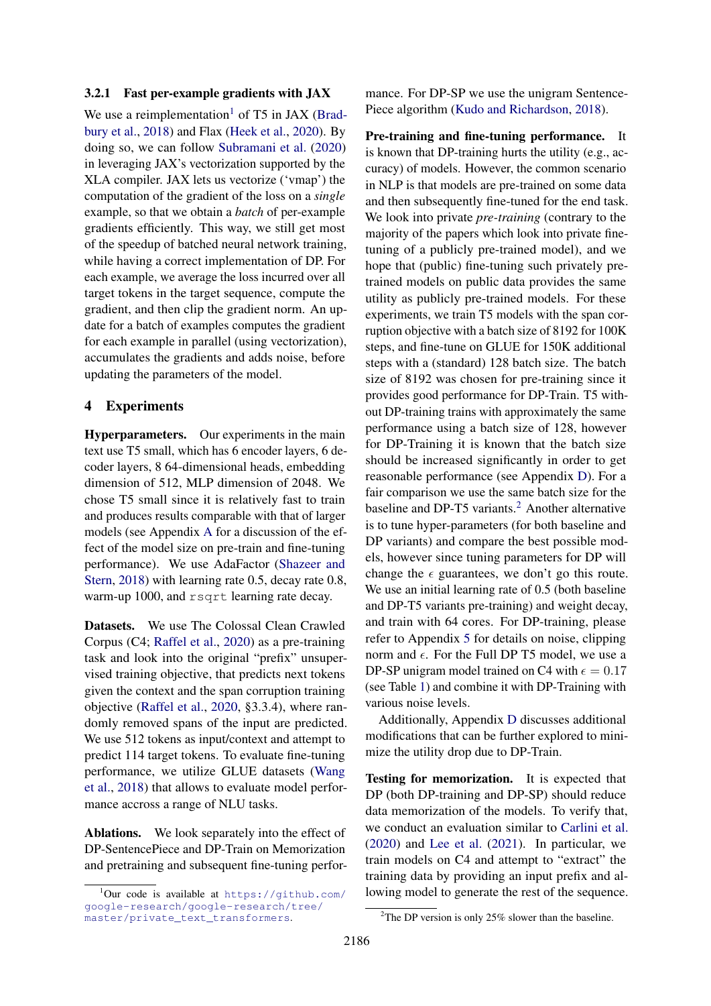#### 3.2.1 Fast per-example gradients with JAX

We use a reimplementation<sup>[1](#page-4-0)</sup> of T5 in JAX [\(Brad](#page-8-15)[bury et al.,](#page-8-15) [2018\)](#page-8-15) and Flax [\(Heek et al.,](#page-8-16) [2020\)](#page-8-16). By doing so, we can follow [Subramani et al.](#page-9-8) [\(2020\)](#page-9-8) in leveraging JAX's vectorization supported by the XLA compiler. JAX lets us vectorize ('vmap') the computation of the gradient of the loss on a *single* example, so that we obtain a *batch* of per-example gradients efficiently. This way, we still get most of the speedup of batched neural network training, while having a correct implementation of DP. For each example, we average the loss incurred over all target tokens in the target sequence, compute the gradient, and then clip the gradient norm. An update for a batch of examples computes the gradient for each example in parallel (using vectorization), accumulates the gradients and adds noise, before updating the parameters of the model.

### 4 Experiments

Hyperparameters. Our experiments in the main text use T5 small, which has 6 encoder layers, 6 decoder layers, 8 64-dimensional heads, embedding dimension of 512, MLP dimension of 2048. We chose T5 small since it is relatively fast to train and produces results comparable with that of larger models (see Appendix [A](#page-10-2) for a discussion of the effect of the model size on pre-train and fine-tuning performance). We use AdaFactor [\(Shazeer and](#page-9-9) [Stern,](#page-9-9) [2018\)](#page-9-9) with learning rate 0.5, decay rate 0.8, warm-up 1000, and rsqrt learning rate decay.

Datasets. We use The Colossal Clean Crawled Corpus (C4; [Raffel et al.,](#page-9-1) [2020\)](#page-9-1) as a pre-training task and look into the original "prefix" unsupervised training objective, that predicts next tokens given the context and the span corruption training objective [\(Raffel et al.,](#page-9-1) [2020,](#page-9-1) §3.3.4), where randomly removed spans of the input are predicted. We use 512 tokens as input/context and attempt to predict 114 target tokens. To evaluate fine-tuning performance, we utilize GLUE datasets [\(Wang](#page-9-10) [et al.,](#page-9-10) [2018\)](#page-9-10) that allows to evaluate model performance accross a range of NLU tasks.

Ablations. We look separately into the effect of DP-SentencePiece and DP-Train on Memorization and pretraining and subsequent fine-tuning performance. For DP-SP we use the unigram Sentence-Piece algorithm [\(Kudo and Richardson,](#page-8-13) [2018\)](#page-8-13).

Pre-training and fine-tuning performance. It is known that DP-training hurts the utility (e.g., accuracy) of models. However, the common scenario in NLP is that models are pre-trained on some data and then subsequently fine-tuned for the end task. We look into private *pre-training* (contrary to the majority of the papers which look into private finetuning of a publicly pre-trained model), and we hope that (public) fine-tuning such privately pretrained models on public data provides the same utility as publicly pre-trained models. For these experiments, we train T5 models with the span corruption objective with a batch size of 8192 for 100K steps, and fine-tune on GLUE for 150K additional steps with a (standard) 128 batch size. The batch size of 8192 was chosen for pre-training since it provides good performance for DP-Train. T5 without DP-training trains with approximately the same performance using a batch size of 128, however for DP-Training it is known that the batch size should be increased significantly in order to get reasonable performance (see Appendix [D\)](#page-10-0). For a fair comparison we use the same batch size for the baseline and DP-T5 variants.<sup>[2](#page-4-1)</sup> Another alternative is to tune hyper-parameters (for both baseline and DP variants) and compare the best possible models, however since tuning parameters for DP will change the  $\epsilon$  guarantees, we don't go this route. We use an initial learning rate of 0.5 (both baseline and DP-T5 variants pre-training) and weight decay, and train with 64 cores. For DP-training, please refer to Appendix [5](#page-11-0) for details on noise, clipping norm and  $\epsilon$ . For the Full DP T5 model, we use a DP-SP unigram model trained on C4 with  $\epsilon = 0.17$ (see Table [1\)](#page-6-1) and combine it with DP-Training with various noise levels.

Additionally, Appendix [D](#page-10-0) discusses additional modifications that can be further explored to minimize the utility drop due to DP-Train.

Testing for memorization. It is expected that DP (both DP-training and DP-SP) should reduce data memorization of the models. To verify that, we conduct an evaluation similar to [Carlini et al.](#page-8-2) [\(2020\)](#page-8-2) and [Lee et al.](#page-8-12) [\(2021\)](#page-8-12). In particular, we train models on C4 and attempt to "extract" the training data by providing an input prefix and allowing model to generate the rest of the sequence.

<span id="page-4-0"></span> $1$ Our code is available at [https://github.com/](https://github.com/google-research/google-research/tree/master/private_text_transformers) [google-research/google-research/tree/](https://github.com/google-research/google-research/tree/master/private_text_transformers) [master/private\\_text\\_transformers](https://github.com/google-research/google-research/tree/master/private_text_transformers).

<span id="page-4-1"></span><sup>&</sup>lt;sup>2</sup>The DP version is only 25% slower than the baseline.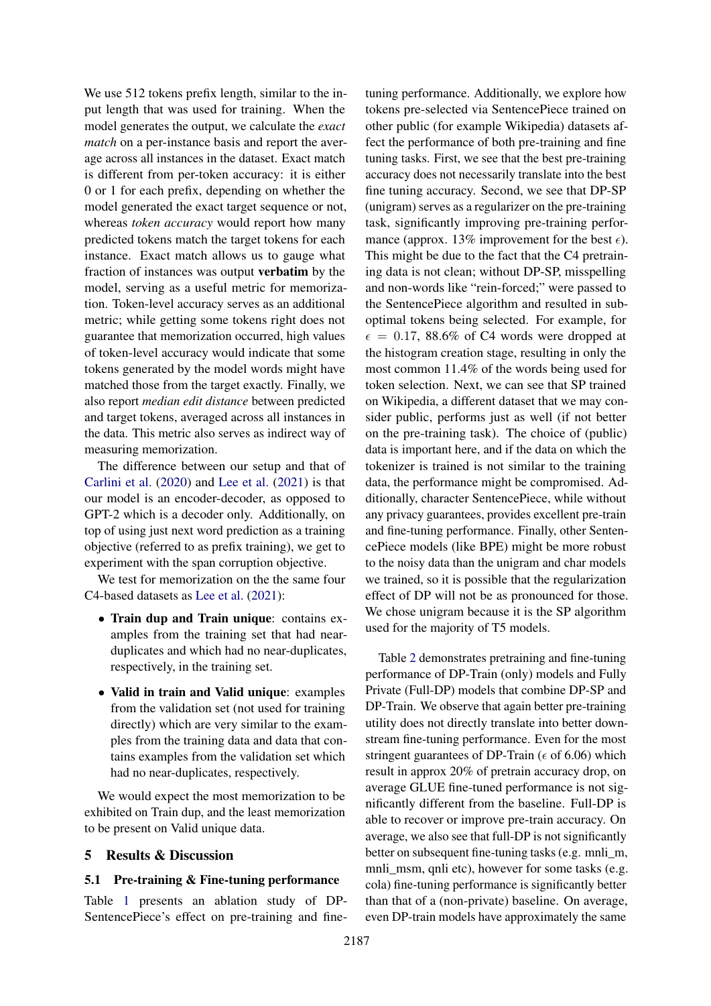We use 512 tokens prefix length, similar to the input length that was used for training. When the model generates the output, we calculate the *exact match* on a per-instance basis and report the average across all instances in the dataset. Exact match is different from per-token accuracy: it is either 0 or 1 for each prefix, depending on whether the model generated the exact target sequence or not, whereas *token accuracy* would report how many predicted tokens match the target tokens for each instance. Exact match allows us to gauge what fraction of instances was output verbatim by the model, serving as a useful metric for memorization. Token-level accuracy serves as an additional metric; while getting some tokens right does not guarantee that memorization occurred, high values of token-level accuracy would indicate that some tokens generated by the model words might have matched those from the target exactly. Finally, we also report *median edit distance* between predicted and target tokens, averaged across all instances in the data. This metric also serves as indirect way of measuring memorization.

The difference between our setup and that of [Carlini et al.](#page-8-2) [\(2020\)](#page-8-2) and [Lee et al.](#page-8-12) [\(2021\)](#page-8-12) is that our model is an encoder-decoder, as opposed to GPT-2 which is a decoder only. Additionally, on top of using just next word prediction as a training objective (referred to as prefix training), we get to experiment with the span corruption objective.

We test for memorization on the the same four C4-based datasets as [Lee et al.](#page-8-12) [\(2021\)](#page-8-12):

- Train dup and Train unique: contains examples from the training set that had nearduplicates and which had no near-duplicates, respectively, in the training set.
- Valid in train and Valid unique: examples from the validation set (not used for training directly) which are very similar to the examples from the training data and data that contains examples from the validation set which had no near-duplicates, respectively.

We would expect the most memorization to be exhibited on Train dup, and the least memorization to be present on Valid unique data.

### 5 Results & Discussion

#### <span id="page-5-0"></span>5.1 Pre-training & Fine-tuning performance

Table [1](#page-6-1) presents an ablation study of DP-SentencePiece's effect on pre-training and finetuning performance. Additionally, we explore how tokens pre-selected via SentencePiece trained on other public (for example Wikipedia) datasets affect the performance of both pre-training and fine tuning tasks. First, we see that the best pre-training accuracy does not necessarily translate into the best fine tuning accuracy. Second, we see that DP-SP (unigram) serves as a regularizer on the pre-training task, significantly improving pre-training performance (approx. 13% improvement for the best  $\epsilon$ ). This might be due to the fact that the C4 pretraining data is not clean; without DP-SP, misspelling and non-words like "rein-forced;" were passed to the SentencePiece algorithm and resulted in suboptimal tokens being selected. For example, for  $\epsilon = 0.17$ , 88.6% of C4 words were dropped at the histogram creation stage, resulting in only the most common 11.4% of the words being used for token selection. Next, we can see that SP trained on Wikipedia, a different dataset that we may consider public, performs just as well (if not better on the pre-training task). The choice of (public) data is important here, and if the data on which the tokenizer is trained is not similar to the training data, the performance might be compromised. Additionally, character SentencePiece, while without any privacy guarantees, provides excellent pre-train and fine-tuning performance. Finally, other SentencePiece models (like BPE) might be more robust to the noisy data than the unigram and char models we trained, so it is possible that the regularization effect of DP will not be as pronounced for those. We chose unigram because it is the SP algorithm used for the majority of T5 models.

Table [2](#page-6-2) demonstrates pretraining and fine-tuning performance of DP-Train (only) models and Fully Private (Full-DP) models that combine DP-SP and DP-Train. We observe that again better pre-training utility does not directly translate into better downstream fine-tuning performance. Even for the most stringent guarantees of DP-Train ( $\epsilon$  of 6.06) which result in approx 20% of pretrain accuracy drop, on average GLUE fine-tuned performance is not significantly different from the baseline. Full-DP is able to recover or improve pre-train accuracy. On average, we also see that full-DP is not significantly better on subsequent fine-tuning tasks (e.g. mnli\_m, mnli\_msm, qnli etc), however for some tasks (e.g. cola) fine-tuning performance is significantly better than that of a (non-private) baseline. On average, even DP-train models have approximately the same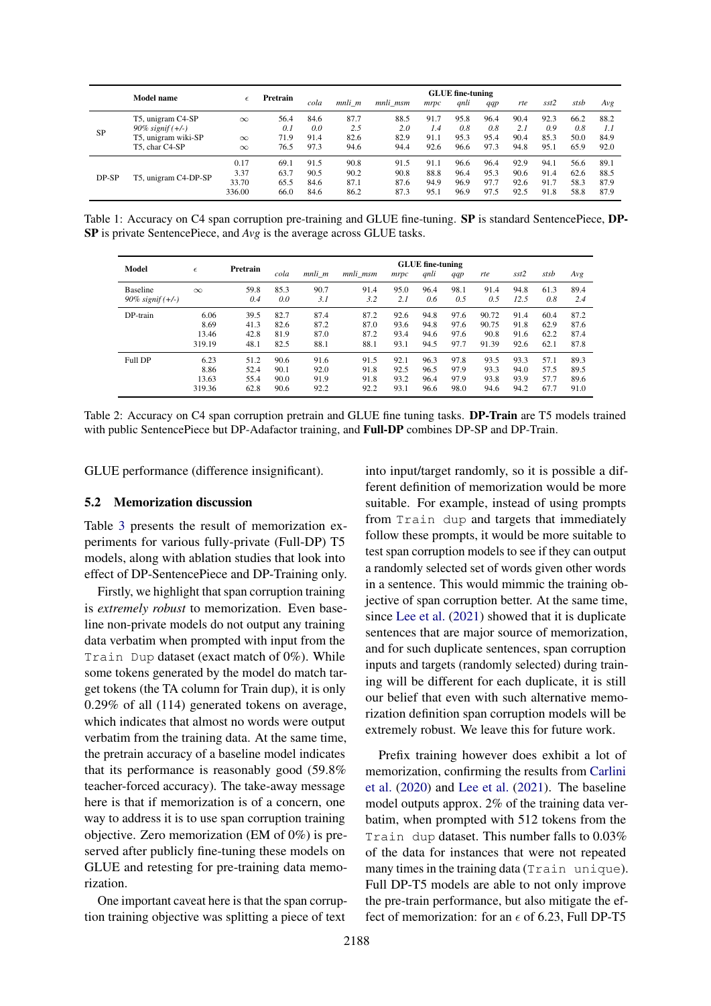<span id="page-6-1"></span>

|           | Model name            |          | Pretrain | <b>GLUE</b> fine-tuning |        |          |      |      |      |      |      |      |      |  |
|-----------|-----------------------|----------|----------|-------------------------|--------|----------|------|------|------|------|------|------|------|--|
|           |                       |          |          | cola                    | mnli m | mnli msm | mrpc | gnli | qqp  | rte  | sst2 | stsb | Avg  |  |
|           | T5, unigram C4-SP     | $\infty$ | 56.4     | 84.6                    | 87.7   | 88.5     | 91.7 | 95.8 | 96.4 | 90.4 | 92.3 | 66.2 | 88.2 |  |
| <b>SP</b> | $90\%$ signif $(+/-)$ |          | 0.1      | 0.0                     | 2.5    | 2.0      | 1.4  | 0.8  | 0.8  | 2.1  | 0.9  | 0.8  | 1.1  |  |
|           | T5, unigram wiki-SP   | $\infty$ | 71.9     | 91.4                    | 82.6   | 82.9     | 91.1 | 95.3 | 95.4 | 90.4 | 85.3 | 50.0 | 84.9 |  |
|           | T5. char C4-SP        | $\infty$ | 76.5     | 97.3                    | 94.6   | 94.4     | 92.6 | 96.6 | 97.3 | 94.8 | 95.1 | 65.9 | 92.0 |  |
|           | T5, unigram C4-DP-SP  | 0.17     | 69.1     | 91.5                    | 90.8   | 91.5     | 91.1 | 96.6 | 96.4 | 92.9 | 94.1 | 56.6 | 89.1 |  |
| $DP-SP$   |                       | 3.37     | 63.7     | 90.5                    | 90.2   | 90.8     | 88.8 | 96.4 | 95.3 | 90.6 | 91.4 | 62.6 | 88.5 |  |
|           |                       | 33.70    | 65.5     | 84.6                    | 87.1   | 87.6     | 94.9 | 96.9 | 97.7 | 92.6 | 91.7 | 58.3 | 87.9 |  |
|           |                       | 336.00   | 66.0     | 84.6                    | 86.2   | 87.3     | 95.1 | 96.9 | 97.5 | 92.5 | 91.8 | 58.8 | 87.9 |  |

<span id="page-6-2"></span>Table 1: Accuracy on C4 span corruption pre-training and GLUE fine-tuning. SP is standard SentencePiece, DP-SP is private SentencePiece, and *Avg* is the average across GLUE tasks.

|                       |            |          | <b>GLUE</b> fine-tuning |        |          |      |      |      |       |      |      |      |  |
|-----------------------|------------|----------|-------------------------|--------|----------|------|------|------|-------|------|------|------|--|
| Model                 | $\epsilon$ | Pretrain | cola                    | mnli m | mnli msm | mrpc | gnli | qqp  | rte   | sst2 | stsb | Avg  |  |
| <b>Baseline</b>       | $\infty$   | 59.8     | 85.3                    | 90.7   | 91.4     | 95.0 | 96.4 | 98.1 | 91.4  | 94.8 | 61.3 | 89.4 |  |
| $90\%$ signif $(+/-)$ |            | 0.4      | 0.0                     | 3.1    | 3.2      | 2.1  | 0.6  | 0.5  | 0.5   | 12.5 | 0.8  | 2.4  |  |
| DP-train              | 6.06       | 39.5     | 82.7                    | 87.4   | 87.2     | 92.6 | 94.8 | 97.6 | 90.72 | 91.4 | 60.4 | 87.2 |  |
|                       | 8.69       | 41.3     | 82.6                    | 87.2   | 87.0     | 93.6 | 94.8 | 97.6 | 90.75 | 91.8 | 62.9 | 87.6 |  |
|                       | 13.46      | 42.8     | 81.9                    | 87.0   | 87.2     | 93.4 | 94.6 | 97.6 | 90.8  | 91.6 | 62.2 | 87.4 |  |
|                       | 319.19     | 48.1     | 82.5                    | 88.1   | 88.1     | 93.1 | 94.5 | 97.7 | 91.39 | 92.6 | 62.1 | 87.8 |  |
| Full DP               | 6.23       | 51.2     | 90.6                    | 91.6   | 91.5     | 92.1 | 96.3 | 97.8 | 93.5  | 93.3 | 57.1 | 89.3 |  |
|                       | 8.86       | 52.4     | 90.1                    | 92.0   | 91.8     | 92.5 | 96.5 | 97.9 | 93.3  | 94.0 | 57.5 | 89.5 |  |
|                       | 13.63      | 55.4     | 90.0                    | 91.9   | 91.8     | 93.2 | 96.4 | 97.9 | 93.8  | 93.9 | 57.7 | 89.6 |  |
|                       | 319.36     | 62.8     | 90.6                    | 92.2   | 92.2     | 93.1 | 96.6 | 98.0 | 94.6  | 94.2 | 67.7 | 91.0 |  |

Table 2: Accuracy on C4 span corruption pretrain and GLUE fine tuning tasks. DP-Train are T5 models trained with public SentencePiece but DP-Adafactor training, and Full-DP combines DP-SP and DP-Train.

GLUE performance (difference insignificant).

#### <span id="page-6-0"></span>5.2 Memorization discussion

Table [3](#page-7-0) presents the result of memorization experiments for various fully-private (Full-DP) T5 models, along with ablation studies that look into effect of DP-SentencePiece and DP-Training only.

Firstly, we highlight that span corruption training is *extremely robust* to memorization. Even baseline non-private models do not output any training data verbatim when prompted with input from the Train Dup dataset (exact match of 0%). While some tokens generated by the model do match target tokens (the TA column for Train dup), it is only 0.29% of all (114) generated tokens on average, which indicates that almost no words were output verbatim from the training data. At the same time, the pretrain accuracy of a baseline model indicates that its performance is reasonably good (59.8% teacher-forced accuracy). The take-away message here is that if memorization is of a concern, one way to address it is to use span corruption training objective. Zero memorization (EM of 0%) is preserved after publicly fine-tuning these models on GLUE and retesting for pre-training data memorization.

One important caveat here is that the span corruption training objective was splitting a piece of text into input/target randomly, so it is possible a different definition of memorization would be more suitable. For example, instead of using prompts from Train dup and targets that immediately follow these prompts, it would be more suitable to test span corruption models to see if they can output a randomly selected set of words given other words in a sentence. This would mimmic the training objective of span corruption better. At the same time, since [Lee et al.](#page-8-12) [\(2021\)](#page-8-12) showed that it is duplicate sentences that are major source of memorization, and for such duplicate sentences, span corruption inputs and targets (randomly selected) during training will be different for each duplicate, it is still our belief that even with such alternative memorization definition span corruption models will be extremely robust. We leave this for future work.

Prefix training however does exhibit a lot of memorization, confirming the results from [Carlini](#page-8-2) [et al.](#page-8-2) [\(2020\)](#page-8-2) and [Lee et al.](#page-8-12) [\(2021\)](#page-8-12). The baseline model outputs approx. 2% of the training data verbatim, when prompted with 512 tokens from the Train dup dataset. This number falls to 0.03% of the data for instances that were not repeated many times in the training data (Train unique). Full DP-T5 models are able to not only improve the pre-train performance, but also mitigate the effect of memorization: for an  $\epsilon$  of 6.23, Full DP-T5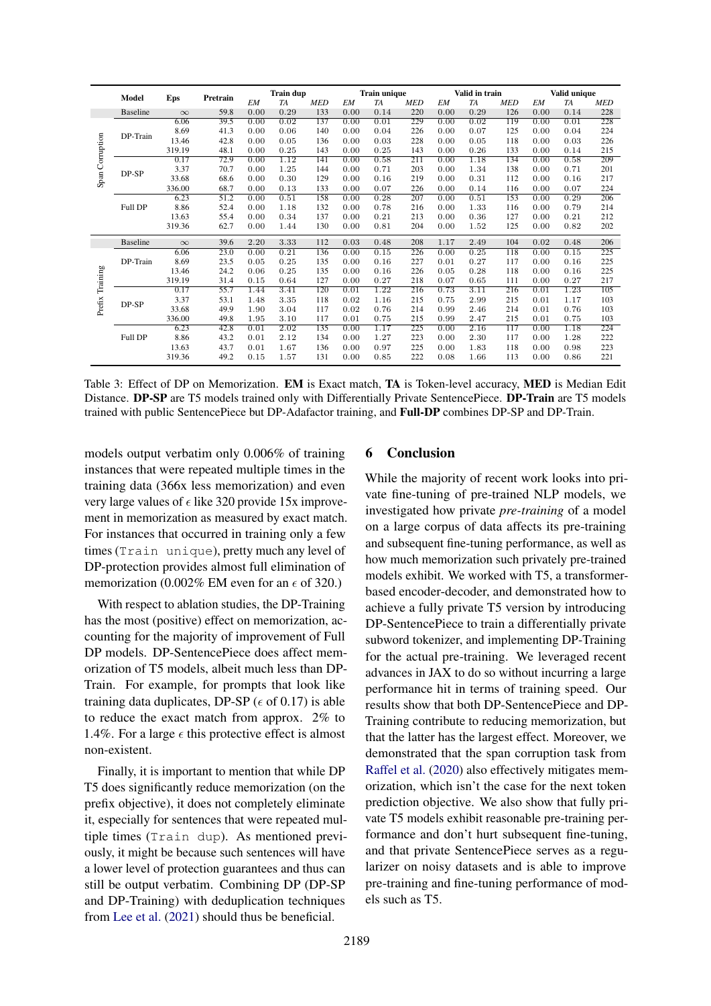<span id="page-7-0"></span>

|                 | Model<br>Eps    |          | Pretrain |      | <b>Train dup</b> |            |           | <b>Train unique</b> |            |      | Valid in train |            |      | Valid unique |                  |  |
|-----------------|-----------------|----------|----------|------|------------------|------------|-----------|---------------------|------------|------|----------------|------------|------|--------------|------------------|--|
|                 |                 |          |          | EM   | TA               | <b>MED</b> | <b>EM</b> | <b>TA</b>           | <b>MED</b> | EM   | TA             | <b>MED</b> | EM   | <b>TA</b>    | <b>MED</b>       |  |
|                 | <b>Baseline</b> | $\infty$ | 59.8     | 0.00 | 0.29             | 133        | 0.00      | 0.14                | 220        | 0.00 | 0.29           | 126        | 0.00 | 0.14         | 228              |  |
|                 |                 | 6.06     | 39.5     | 0.00 | 0.02             | 137        | 0.00      | 0.01                | 229        | 0.00 | 0.02           | 119        | 0.00 | 0.01         | $\overline{228}$ |  |
| Span Corruption | DP-Train        | 8.69     | 41.3     | 0.00 | 0.06             | 140        | 0.00      | 0.04                | 226        | 0.00 | 0.07           | 125        | 0.00 | 0.04         | 224              |  |
|                 |                 | 13.46    | 42.8     | 0.00 | 0.05             | 136        | 0.00      | 0.03                | 228        | 0.00 | 0.05           | 118        | 0.00 | 0.03         | 226              |  |
|                 |                 | 319.19   | 48.1     | 0.00 | 0.25             | 143        | 0.00      | 0.25                | 143        | 0.00 | 0.26           | 133        | 0.00 | 0.14         | 215              |  |
|                 |                 | 0.17     | 72.9     | 0.00 | 1.12             | 141        | 0.00      | 0.58                | 211        | 0.00 | 1.18           | 134        | 0.00 | 0.58         | 209              |  |
|                 | $DP-SP$         | 3.37     | 70.7     | 0.00 | 1.25             | 144        | 0.00      | 0.71                | 203        | 0.00 | 1.34           | 138        | 0.00 | 0.71         | 201              |  |
|                 |                 | 33.68    | 68.6     | 0.00 | 0.30             | 129        | 0.00      | 0.16                | 219        | 0.00 | 0.31           | 112        | 0.00 | 0.16         | 217              |  |
|                 |                 | 336.00   | 68.7     | 0.00 | 0.13             | 133        | 0.00      | 0.07                | 226        | 0.00 | 0.14           | 116        | 0.00 | 0.07         | 224              |  |
|                 |                 | 6.23     | 51.2     | 0.00 | 0.51             | 158        | 0.00      | 0.28                | 207        | 0.00 | 0.51           | 153        | 0.00 | 0.29         | 206              |  |
|                 | Full DP         | 8.86     | 52.4     | 0.00 | 1.18             | 132        | 0.00      | 0.78                | 216        | 0.00 | 1.33           | 116        | 0.00 | 0.79         | 214              |  |
|                 |                 | 13.63    | 55.4     | 0.00 | 0.34             | 137        | 0.00      | 0.21                | 213        | 0.00 | 0.36           | 127        | 0.00 | 0.21         | 212              |  |
|                 |                 | 319.36   | 62.7     | 0.00 | 1.44             | 130        | 0.00      | 0.81                | 204        | 0.00 | 1.52           | 125        | 0.00 | 0.82         | 202              |  |
|                 | <b>Baseline</b> | $\infty$ | 39.6     | 2.20 | 3.33             | 112        | 0.03      | 0.48                | 208        | 1.17 | 2.49           | 104        | 0.02 | 0.48         | 206              |  |
|                 |                 | 6.06     | 23.0     | 0.00 | 0.21             | 136        | 0.00      | 0.15                | 226        | 0.00 | 0.25           | 118        | 0.00 | 0.15         | 225              |  |
|                 | DP-Train        | 8.69     | 23.5     | 0.05 | 0.25             | 135        | 0.00      | 0.16                | 227        | 0.01 | 0.27           | 117        | 0.00 | 0.16         | 225              |  |
|                 |                 | 13.46    | 24.2     | 0.06 | 0.25             | 135        | 0.00      | 0.16                | 226        | 0.05 | 0.28           | 118        | 0.00 | 0.16         | 225              |  |
| Training        |                 | 319.19   | 31.4     | 0.15 | 0.64             | 127        | 0.00      | 0.27                | 218        | 0.07 | 0.65           | 111        | 0.00 | 0.27         | 217              |  |
|                 |                 | 0.17     | 55.7     | 1.44 | 3.41             | 120        | 0.01      | 1.22                | 216        | 0.73 | 3.11           | 216        | 0.01 | 1.23         | 105              |  |
|                 | $DP-SP$         | 3.37     | 53.1     | 1.48 | 3.35             | 118        | 0.02      | 1.16                | 215        | 0.75 | 2.99           | 215        | 0.01 | 1.17         | 103              |  |
| Prefix          |                 | 33.68    | 49.9     | 1.90 | 3.04             | 117        | 0.02      | 0.76                | 214        | 0.99 | 2.46           | 214        | 0.01 | 0.76         | 103              |  |
|                 |                 | 336.00   | 49.8     | 1.95 | 3.10             | 117        | 0.01      | 0.75                | 215        | 0.99 | 2.47           | 215        | 0.01 | 0.75         | 103              |  |
|                 |                 | 6.23     | 42.8     | 0.01 | 2.02             | 135        | 0.00      | 1.17                | 225        | 0.00 | 2.16           | 117        | 0.00 | 1.18         | 224              |  |
|                 | Full DP         | 8.86     | 43.2     | 0.01 | 2.12             | 134        | 0.00      | 1.27                | 223        | 0.00 | 2.30           | 117        | 0.00 | 1.28         | 222              |  |
|                 |                 | 13.63    | 43.7     | 0.01 | 1.67             | 136        | 0.00      | 0.97                | 225        | 0.00 | 1.83           | 118        | 0.00 | 0.98         | 223              |  |
|                 |                 | 319.36   | 49.2     | 0.15 | 1.57             | 131        | 0.00      | 0.85                | 222        | 0.08 | 1.66           | 113        | 0.00 | 0.86         | 221              |  |

Table 3: Effect of DP on Memorization. EM is Exact match, TA is Token-level accuracy, MED is Median Edit Distance. DP-SP are T5 models trained only with Differentially Private SentencePiece. DP-Train are T5 models trained with public SentencePiece but DP-Adafactor training, and Full-DP combines DP-SP and DP-Train.

models output verbatim only 0.006% of training instances that were repeated multiple times in the training data (366x less memorization) and even very large values of  $\epsilon$  like 320 provide 15x improvement in memorization as measured by exact match. For instances that occurred in training only a few times (Train unique), pretty much any level of DP-protection provides almost full elimination of memorization (0.002% EM even for an  $\epsilon$  of 320.)

With respect to ablation studies, the DP-Training has the most (positive) effect on memorization, accounting for the majority of improvement of Full DP models. DP-SentencePiece does affect memorization of T5 models, albeit much less than DP-Train. For example, for prompts that look like training data duplicates, DP-SP ( $\epsilon$  of 0.17) is able to reduce the exact match from approx. 2% to 1.4%. For a large  $\epsilon$  this protective effect is almost non-existent.

Finally, it is important to mention that while DP T5 does significantly reduce memorization (on the prefix objective), it does not completely eliminate it, especially for sentences that were repeated multiple times (Train dup). As mentioned previously, it might be because such sentences will have a lower level of protection guarantees and thus can still be output verbatim. Combining DP (DP-SP and DP-Training) with deduplication techniques from [Lee et al.](#page-8-12) [\(2021\)](#page-8-12) should thus be beneficial.

### 6 Conclusion

While the majority of recent work looks into private fine-tuning of pre-trained NLP models, we investigated how private *pre-training* of a model on a large corpus of data affects its pre-training and subsequent fine-tuning performance, as well as how much memorization such privately pre-trained models exhibit. We worked with T5, a transformerbased encoder-decoder, and demonstrated how to achieve a fully private T5 version by introducing DP-SentencePiece to train a differentially private subword tokenizer, and implementing DP-Training for the actual pre-training. We leveraged recent advances in JAX to do so without incurring a large performance hit in terms of training speed. Our results show that both DP-SentencePiece and DP-Training contribute to reducing memorization, but that the latter has the largest effect. Moreover, we demonstrated that the span corruption task from [Raffel et al.](#page-9-1) [\(2020\)](#page-9-1) also effectively mitigates memorization, which isn't the case for the next token prediction objective. We also show that fully private T5 models exhibit reasonable pre-training performance and don't hurt subsequent fine-tuning, and that private SentencePiece serves as a regularizer on noisy datasets and is able to improve pre-training and fine-tuning performance of models such as T5.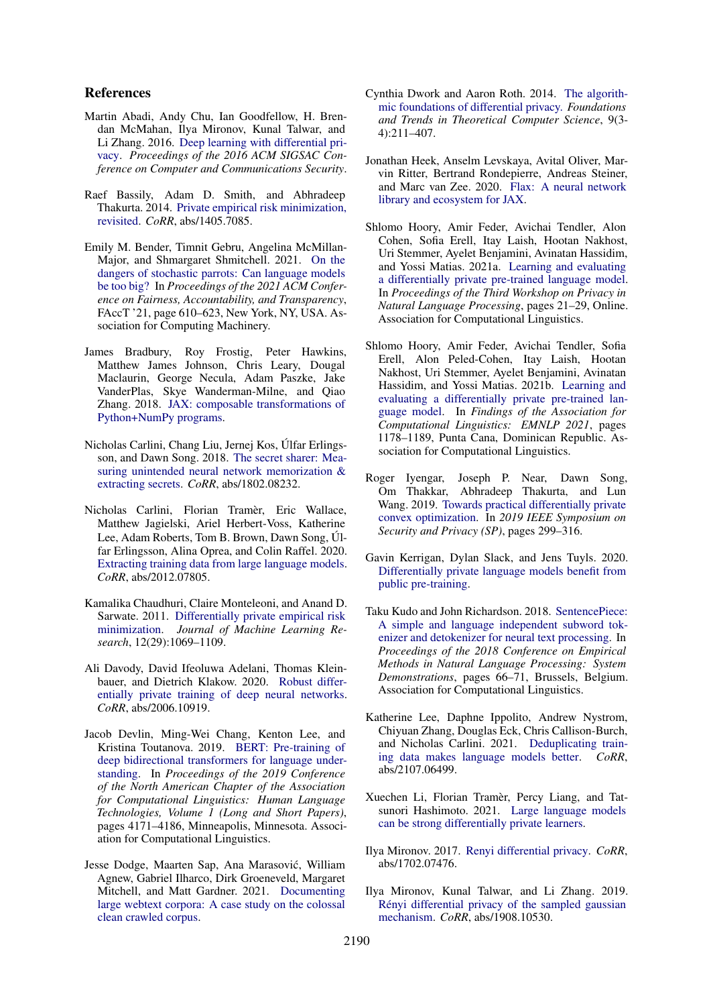### References

- <span id="page-8-4"></span>Martin Abadi, Andy Chu, Ian Goodfellow, H. Brendan McMahan, Ilya Mironov, Kunal Talwar, and Li Zhang. 2016. [Deep learning with differential pri](https://doi.org/10.1145/2976749.2978318)[vacy.](https://doi.org/10.1145/2976749.2978318) *Proceedings of the 2016 ACM SIGSAC Conference on Computer and Communications Security*.
- <span id="page-8-19"></span>Raef Bassily, Adam D. Smith, and Abhradeep Thakurta. 2014. [Private empirical risk minimization,](http://arxiv.org/abs/1405.7085) [revisited.](http://arxiv.org/abs/1405.7085) *CoRR*, abs/1405.7085.
- <span id="page-8-0"></span>Emily M. Bender, Timnit Gebru, Angelina McMillan-Major, and Shmargaret Shmitchell. 2021. [On the](https://doi.org/10.1145/3442188.3445922) [dangers of stochastic parrots: Can language models](https://doi.org/10.1145/3442188.3445922) [be too big?](https://doi.org/10.1145/3442188.3445922) In *Proceedings of the 2021 ACM Conference on Fairness, Accountability, and Transparency*, FAccT '21, page 610–623, New York, NY, USA. Association for Computing Machinery.
- <span id="page-8-15"></span>James Bradbury, Roy Frostig, Peter Hawkins, Matthew James Johnson, Chris Leary, Dougal Maclaurin, George Necula, Adam Paszke, Jake VanderPlas, Skye Wanderman-Milne, and Qiao Zhang. 2018. [JAX: composable transformations of](http://github.com/google/jax) [Python+NumPy programs.](http://github.com/google/jax)
- <span id="page-8-11"></span>Nicholas Carlini, Chang Liu, Jernej Kos, Úlfar Erlingsson, and Dawn Song. 2018. [The secret sharer: Mea](http://arxiv.org/abs/1802.08232)[suring unintended neural network memorization &](http://arxiv.org/abs/1802.08232) [extracting secrets.](http://arxiv.org/abs/1802.08232) *CoRR*, abs/1802.08232.
- <span id="page-8-2"></span>Nicholas Carlini, Florian Tramèr, Eric Wallace, Matthew Jagielski, Ariel Herbert-Voss, Katherine Lee, Adam Roberts, Tom B. Brown, Dawn Song, Úlfar Erlingsson, Alina Oprea, and Colin Raffel. 2020. [Extracting training data from large language models.](http://arxiv.org/abs/2012.07805) *CoRR*, abs/2012.07805.
- <span id="page-8-5"></span>Kamalika Chaudhuri, Claire Monteleoni, and Anand D. Sarwate. 2011. [Differentially private empirical risk](http://jmlr.org/papers/v12/chaudhuri11a.html) [minimization.](http://jmlr.org/papers/v12/chaudhuri11a.html) *Journal of Machine Learning Research*, 12(29):1069–1109.
- <span id="page-8-20"></span>Ali Davody, David Ifeoluwa Adelani, Thomas Kleinbauer, and Dietrich Klakow. 2020. [Robust differ](http://arxiv.org/abs/2006.10919)[entially private training of deep neural networks.](http://arxiv.org/abs/2006.10919) *CoRR*, abs/2006.10919.
- <span id="page-8-10"></span>Jacob Devlin, Ming-Wei Chang, Kenton Lee, and Kristina Toutanova. 2019. [BERT: Pre-training of](https://doi.org/10.18653/v1/N19-1423) [deep bidirectional transformers for language under](https://doi.org/10.18653/v1/N19-1423)[standing.](https://doi.org/10.18653/v1/N19-1423) In *Proceedings of the 2019 Conference of the North American Chapter of the Association for Computational Linguistics: Human Language Technologies, Volume 1 (Long and Short Papers)*, pages 4171–4186, Minneapolis, Minnesota. Association for Computational Linguistics.
- <span id="page-8-1"></span>Jesse Dodge, Maarten Sap, Ana Marasovic, William ´ Agnew, Gabriel Ilharco, Dirk Groeneveld, Margaret Mitchell, and Matt Gardner. 2021. [Documenting](http://arxiv.org/abs/2104.08758) [large webtext corpora: A case study on the colossal](http://arxiv.org/abs/2104.08758) [clean crawled corpus.](http://arxiv.org/abs/2104.08758)
- <span id="page-8-3"></span>Cynthia Dwork and Aaron Roth. 2014. [The algorith](http://dblp.uni-trier.de/db/journals/fttcs/fttcs9.html#DworkR14)[mic foundations of differential privacy.](http://dblp.uni-trier.de/db/journals/fttcs/fttcs9.html#DworkR14) *Foundations and Trends in Theoretical Computer Science*, 9(3- 4):211–407.
- <span id="page-8-16"></span>Jonathan Heek, Anselm Levskaya, Avital Oliver, Marvin Ritter, Bertrand Rondepierre, Andreas Steiner, and Marc van Zee. 2020. [Flax: A neural network](http://github.com/google/flax) [library and ecosystem for JAX.](http://github.com/google/flax)
- <span id="page-8-9"></span>Shlomo Hoory, Amir Feder, Avichai Tendler, Alon Cohen, Sofia Erell, Itay Laish, Hootan Nakhost, Uri Stemmer, Ayelet Benjamini, Avinatan Hassidim, and Yossi Matias. 2021a. [Learning and evaluating](https://www.aclweb.org/anthology/2021.privatenlp-1.3) [a differentially private pre-trained language model.](https://www.aclweb.org/anthology/2021.privatenlp-1.3) In *Proceedings of the Third Workshop on Privacy in Natural Language Processing*, pages 21–29, Online. Association for Computational Linguistics.
- <span id="page-8-14"></span>Shlomo Hoory, Amir Feder, Avichai Tendler, Sofia Erell, Alon Peled-Cohen, Itay Laish, Hootan Nakhost, Uri Stemmer, Ayelet Benjamini, Avinatan Hassidim, and Yossi Matias. 2021b. [Learning and](https://doi.org/10.18653/v1/2021.findings-emnlp.102) [evaluating a differentially private pre-trained lan](https://doi.org/10.18653/v1/2021.findings-emnlp.102)[guage model.](https://doi.org/10.18653/v1/2021.findings-emnlp.102) In *Findings of the Association for Computational Linguistics: EMNLP 2021*, pages 1178–1189, Punta Cana, Dominican Republic. Association for Computational Linguistics.
- <span id="page-8-6"></span>Roger Iyengar, Joseph P. Near, Dawn Song, Om Thakkar, Abhradeep Thakurta, and Lun Wang. 2019. [Towards practical differentially private](https://doi.org/10.1109/SP.2019.00001) [convex optimization.](https://doi.org/10.1109/SP.2019.00001) In *2019 IEEE Symposium on Security and Privacy (SP)*, pages 299–316.
- <span id="page-8-7"></span>Gavin Kerrigan, Dylan Slack, and Jens Tuyls. 2020. [Differentially private language models benefit from](http://arxiv.org/abs/2009.05886) [public pre-training.](http://arxiv.org/abs/2009.05886)
- <span id="page-8-13"></span>Taku Kudo and John Richardson. 2018. [SentencePiece:](https://doi.org/10.18653/v1/D18-2012) [A simple and language independent subword tok](https://doi.org/10.18653/v1/D18-2012)[enizer and detokenizer for neural text processing.](https://doi.org/10.18653/v1/D18-2012) In *Proceedings of the 2018 Conference on Empirical Methods in Natural Language Processing: System Demonstrations*, pages 66–71, Brussels, Belgium. Association for Computational Linguistics.
- <span id="page-8-12"></span>Katherine Lee, Daphne Ippolito, Andrew Nystrom, Chiyuan Zhang, Douglas Eck, Chris Callison-Burch, and Nicholas Carlini. 2021. [Deduplicating train](http://arxiv.org/abs/2107.06499)[ing data makes language models better.](http://arxiv.org/abs/2107.06499) *CoRR*, abs/2107.06499.
- <span id="page-8-8"></span>Xuechen Li, Florian Tramèr, Percy Liang, and Tatsunori Hashimoto. 2021. [Large language models](http://arxiv.org/abs/2110.05679) [can be strong differentially private learners.](http://arxiv.org/abs/2110.05679)
- <span id="page-8-17"></span>Ilya Mironov. 2017. [Renyi differential privacy.](http://arxiv.org/abs/1702.07476) *CoRR*, abs/1702.07476.
- <span id="page-8-18"></span>Ilya Mironov, Kunal Talwar, and Li Zhang. 2019. [Rényi differential privacy of the sampled gaussian](http://arxiv.org/abs/1908.10530) [mechanism.](http://arxiv.org/abs/1908.10530) *CoRR*, abs/1908.10530.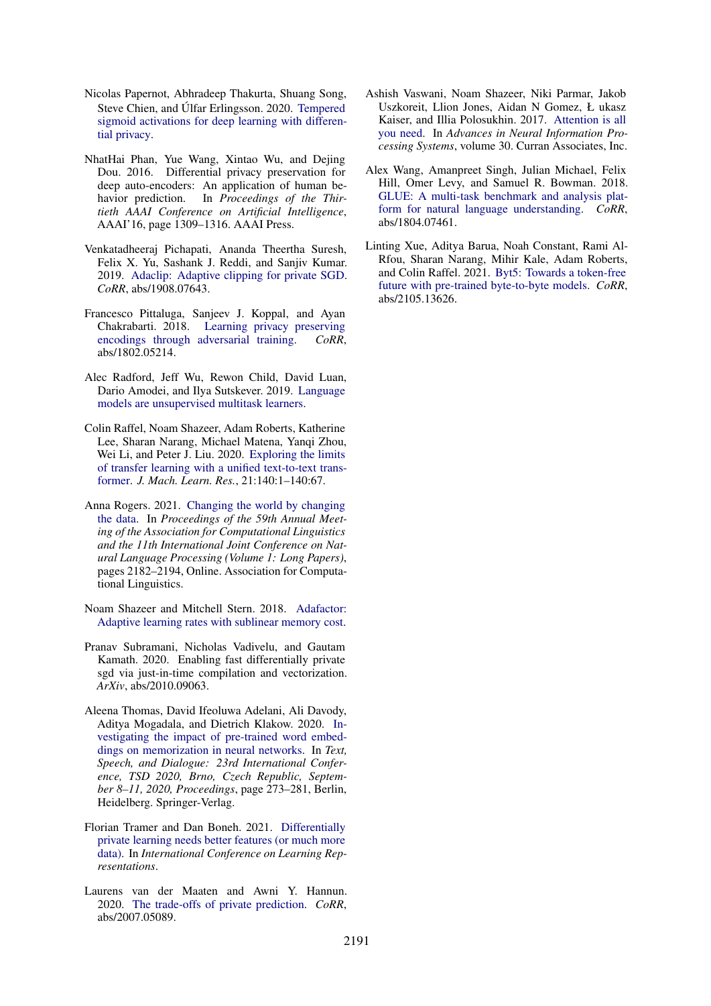- <span id="page-9-12"></span>Nicolas Papernot, Abhradeep Thakurta, Shuang Song, Steve Chien, and Úlfar Erlingsson. 2020. [Tempered](http://arxiv.org/abs/2007.14191) [sigmoid activations for deep learning with differen](http://arxiv.org/abs/2007.14191)[tial privacy.](http://arxiv.org/abs/2007.14191)
- <span id="page-9-4"></span>NhatHai Phan, Yue Wang, Xintao Wu, and Dejing Dou. 2016. Differential privacy preservation for deep auto-encoders: An application of human behavior prediction. In *Proceedings of the Thirtieth AAAI Conference on Artificial Intelligence*, AAAI'16, page 1309–1316. AAAI Press.
- <span id="page-9-3"></span>Venkatadheeraj Pichapati, Ananda Theertha Suresh, Felix X. Yu, Sashank J. Reddi, and Sanjiv Kumar. 2019. [Adaclip: Adaptive clipping for private SGD.](http://arxiv.org/abs/1908.07643) *CoRR*, abs/1908.07643.
- <span id="page-9-14"></span>Francesco Pittaluga, Sanjeev J. Koppal, and Ayan Chakrabarti. 2018. [Learning privacy preserving](http://arxiv.org/abs/1802.05214) [encodings through adversarial training.](http://arxiv.org/abs/1802.05214) *CoRR*, abs/1802.05214.
- <span id="page-9-0"></span>Alec Radford, Jeff Wu, Rewon Child, David Luan, Dario Amodei, and Ilya Sutskever. 2019. [Language](https://openai.com/blog/better-language-models/) [models are unsupervised multitask learners.](https://openai.com/blog/better-language-models/)
- <span id="page-9-1"></span>Colin Raffel, Noam Shazeer, Adam Roberts, Katherine Lee, Sharan Narang, Michael Matena, Yanqi Zhou, Wei Li, and Peter J. Liu. 2020. [Exploring the limits](http://jmlr.org/papers/v21/20-074.html) [of transfer learning with a unified text-to-text trans](http://jmlr.org/papers/v21/20-074.html)[former.](http://jmlr.org/papers/v21/20-074.html) *J. Mach. Learn. Res.*, 21:140:1–140:67.
- <span id="page-9-2"></span>Anna Rogers. 2021. [Changing the world by changing](https://doi.org/10.18653/v1/2021.acl-long.170) [the data.](https://doi.org/10.18653/v1/2021.acl-long.170) In *Proceedings of the 59th Annual Meeting of the Association for Computational Linguistics and the 11th International Joint Conference on Natural Language Processing (Volume 1: Long Papers)*, pages 2182–2194, Online. Association for Computational Linguistics.
- <span id="page-9-9"></span>Noam Shazeer and Mitchell Stern. 2018. [Adafactor:](http://arxiv.org/abs/1804.04235) [Adaptive learning rates with sublinear memory cost.](http://arxiv.org/abs/1804.04235)
- <span id="page-9-8"></span>Pranav Subramani, Nicholas Vadivelu, and Gautam Kamath. 2020. Enabling fast differentially private sgd via just-in-time compilation and vectorization. *ArXiv*, abs/2010.09063.
- <span id="page-9-5"></span>Aleena Thomas, David Ifeoluwa Adelani, Ali Davody, Aditya Mogadala, and Dietrich Klakow. 2020. [In](https://doi.org/10.1007/978-3-030-58323-1_30)[vestigating the impact of pre-trained word embed](https://doi.org/10.1007/978-3-030-58323-1_30)[dings on memorization in neural networks.](https://doi.org/10.1007/978-3-030-58323-1_30) In *Text, Speech, and Dialogue: 23rd International Conference, TSD 2020, Brno, Czech Republic, September 8–11, 2020, Proceedings*, page 273–281, Berlin, Heidelberg. Springer-Verlag.
- <span id="page-9-11"></span>Florian Tramer and Dan Boneh. 2021. [Differentially](https://openreview.net/forum?id=YTWGvpFOQD-) [private learning needs better features \(or much more](https://openreview.net/forum?id=YTWGvpFOQD-) [data\).](https://openreview.net/forum?id=YTWGvpFOQD-) In *International Conference on Learning Representations*.
- <span id="page-9-13"></span>Laurens van der Maaten and Awni Y. Hannun. 2020. [The trade-offs of private prediction.](http://arxiv.org/abs/2007.05089) *CoRR*, abs/2007.05089.
- <span id="page-9-6"></span>Ashish Vaswani, Noam Shazeer, Niki Parmar, Jakob Uszkoreit, Llion Jones, Aidan N Gomez, Ł ukasz Kaiser, and Illia Polosukhin. 2017. [Attention is all](https://proceedings.neurips.cc/paper/2017/file/3f5ee243547dee91fbd053c1c4a845aa-Paper.pdf) [you need.](https://proceedings.neurips.cc/paper/2017/file/3f5ee243547dee91fbd053c1c4a845aa-Paper.pdf) In *Advances in Neural Information Processing Systems*, volume 30. Curran Associates, Inc.
- <span id="page-9-10"></span>Alex Wang, Amanpreet Singh, Julian Michael, Felix Hill, Omer Levy, and Samuel R. Bowman. 2018. [GLUE: A multi-task benchmark and analysis plat](http://arxiv.org/abs/1804.07461)[form for natural language understanding.](http://arxiv.org/abs/1804.07461) *CoRR*, abs/1804.07461.
- <span id="page-9-7"></span>Linting Xue, Aditya Barua, Noah Constant, Rami Al-Rfou, Sharan Narang, Mihir Kale, Adam Roberts, and Colin Raffel. 2021. [Byt5: Towards a token-free](http://arxiv.org/abs/2105.13626) [future with pre-trained byte-to-byte models.](http://arxiv.org/abs/2105.13626) *CoRR*, abs/2105.13626.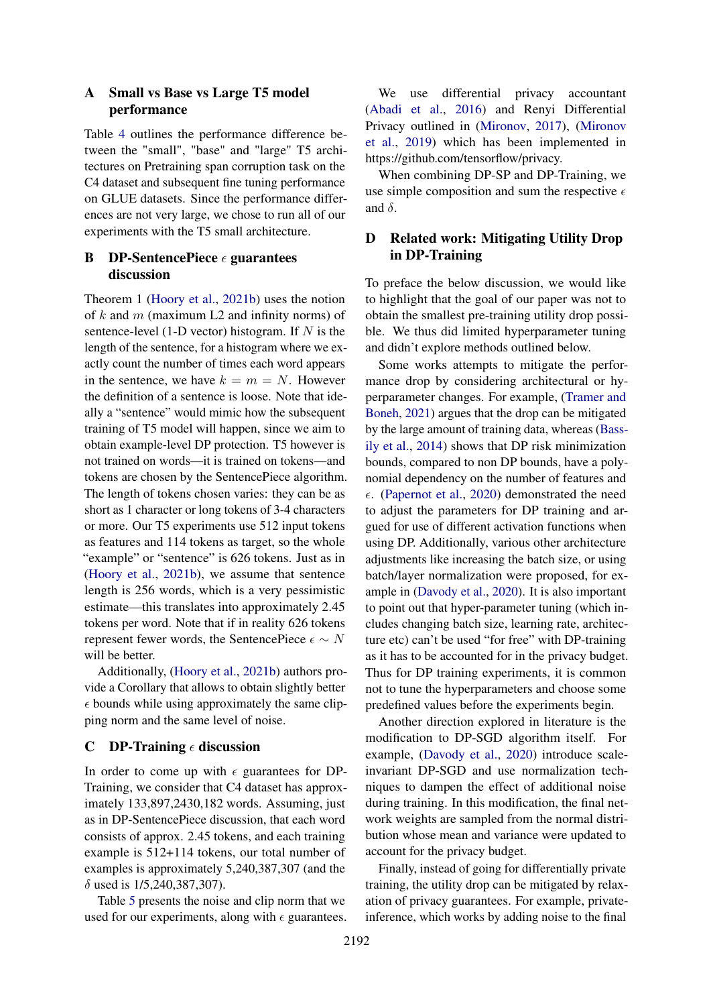# <span id="page-10-2"></span>A Small vs Base vs Large T5 model performance

Table [4](#page-11-1) outlines the performance difference between the "small", "base" and "large" T5 architectures on Pretraining span corruption task on the C4 dataset and subsequent fine tuning performance on GLUE datasets. Since the performance differences are not very large, we chose to run all of our experiments with the T5 small architecture.

# <span id="page-10-1"></span>**B** DP-SentencePiece  $\epsilon$  guarantees discussion

Theorem 1 [\(Hoory et al.,](#page-8-14) [2021b\)](#page-8-14) uses the notion of  $k$  and  $m$  (maximum L2 and infinity norms) of sentence-level (1-D vector) histogram. If  $N$  is the length of the sentence, for a histogram where we exactly count the number of times each word appears in the sentence, we have  $k = m = N$ . However the definition of a sentence is loose. Note that ideally a "sentence" would mimic how the subsequent training of T5 model will happen, since we aim to obtain example-level DP protection. T5 however is not trained on words—it is trained on tokens—and tokens are chosen by the SentencePiece algorithm. The length of tokens chosen varies: they can be as short as 1 character or long tokens of 3-4 characters or more. Our T5 experiments use 512 input tokens as features and 114 tokens as target, so the whole "example" or "sentence" is 626 tokens. Just as in [\(Hoory et al.,](#page-8-14) [2021b\)](#page-8-14), we assume that sentence length is 256 words, which is a very pessimistic estimate—this translates into approximately 2.45 tokens per word. Note that if in reality 626 tokens represent fewer words, the SentencePiece  $\epsilon \sim N$ will be better.

Additionally, [\(Hoory et al.,](#page-8-14) [2021b\)](#page-8-14) authors provide a Corollary that allows to obtain slightly better  $\epsilon$  bounds while using approximately the same clipping norm and the same level of noise.

# C DP-Training  $\epsilon$  discussion

In order to come up with  $\epsilon$  guarantees for DP-Training, we consider that C4 dataset has approximately 133,897,2430,182 words. Assuming, just as in DP-SentencePiece discussion, that each word consists of approx. 2.45 tokens, and each training example is 512+114 tokens, our total number of examples is approximately 5,240,387,307 (and the δ used is 1/5,240,387,307).

Table [5](#page-11-0) presents the noise and clip norm that we used for our experiments, along with  $\epsilon$  guarantees.

We use differential privacy accountant [\(Abadi et al.,](#page-8-4) [2016\)](#page-8-4) and Renyi Differential Privacy outlined in [\(Mironov,](#page-8-17) [2017\)](#page-8-17), [\(Mironov](#page-8-18) [et al.,](#page-8-18) [2019\)](#page-8-18) which has been implemented in https://github.com/tensorflow/privacy.

When combining DP-SP and DP-Training, we use simple composition and sum the respective  $\epsilon$ and  $\delta$ .

# <span id="page-10-0"></span>D Related work: Mitigating Utility Drop in DP-Training

To preface the below discussion, we would like to highlight that the goal of our paper was not to obtain the smallest pre-training utility drop possible. We thus did limited hyperparameter tuning and didn't explore methods outlined below.

Some works attempts to mitigate the performance drop by considering architectural or hyperparameter changes. For example, [\(Tramer and](#page-9-11) [Boneh,](#page-9-11) [2021\)](#page-9-11) argues that the drop can be mitigated by the large amount of training data, whereas [\(Bass](#page-8-19)[ily et al.,](#page-8-19) [2014\)](#page-8-19) shows that DP risk minimization bounds, compared to non DP bounds, have a polynomial dependency on the number of features and  $\epsilon$ . [\(Papernot et al.,](#page-9-12) [2020\)](#page-9-12) demonstrated the need to adjust the parameters for DP training and argued for use of different activation functions when using DP. Additionally, various other architecture adjustments like increasing the batch size, or using batch/layer normalization were proposed, for example in [\(Davody et al.,](#page-8-20) [2020\)](#page-8-20). It is also important to point out that hyper-parameter tuning (which includes changing batch size, learning rate, architecture etc) can't be used "for free" with DP-training as it has to be accounted for in the privacy budget. Thus for DP training experiments, it is common not to tune the hyperparameters and choose some predefined values before the experiments begin.

Another direction explored in literature is the modification to DP-SGD algorithm itself. For example, [\(Davody et al.,](#page-8-20) [2020\)](#page-8-20) introduce scaleinvariant DP-SGD and use normalization techniques to dampen the effect of additional noise during training. In this modification, the final network weights are sampled from the normal distribution whose mean and variance were updated to account for the privacy budget.

Finally, instead of going for differentially private training, the utility drop can be mitigated by relaxation of privacy guarantees. For example, privateinference, which works by adding noise to the final